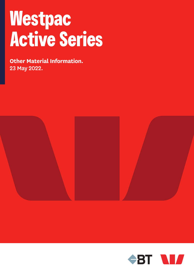# **Westpac Active Series**

**Other Material Information.** 23 May 2022.



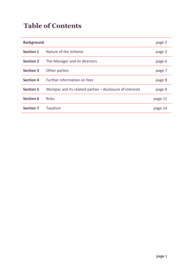## **Table of Contents**

| <b>Background</b> |                                                           | page 2  |
|-------------------|-----------------------------------------------------------|---------|
| <b>Section 1</b>  | Nature of the Scheme                                      | page 2  |
| <b>Section 2</b>  | The Manager and its directors                             | page 6  |
| <b>Section 3</b>  | Other parties                                             | page 7  |
| <b>Section 4</b>  | Further information on fees                               | page 8  |
| <b>Section 5</b>  | Westpac and its related parties – disclosure of interests | page 9  |
| <b>Section 6</b>  | <b>Risks</b>                                              | page 11 |
| <b>Section 7</b>  | <b>Taxation</b>                                           | page 14 |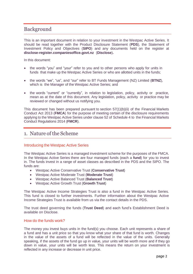## Background

This is an important document in relation to your investment in the Westpac Active Series. It should be read together with the Product Disclosure Statement (**PDS**), the Statement of Investment Policy and Objectives (**SIPO**) and any documents held on the register at **disclose-register.companiesoffice.govt.nz** (**Disclose**)**.**

In this document:

- the words "you" and "your" refer to you and to other persons who apply for units in funds that make up the Westpac Active Series or who are allotted units in the funds;
- the words "we", "us", and "our" refer to BT Funds Management (NZ) Limited (**BTNZ**), which is the Manager of the Westpac Active Series; and
- the words "current" or "currently", in relation to legislation, policy, activity or practice, mean as at the date of this document. Any legislation, policy, activity or practice may be reviewed or changed without us notifying you.

This document has been prepared pursuant to section 57(1)(b)(ii) of the Financial Markets Conduct Act 2013 (**FMCA**) for the purpose of meeting certain of the disclosure requirements applying to the Westpac Active Series under clause 52 of Schedule 4 to the Financial Markets Conduct Regulations 2014 (**FMCR**).

### 1. Nature of the Scheme

#### Introducing the Westpac Active Series

The Westpac Active Series is a managed investment scheme for the purposes of the FMCA. In the Westpac Active Series there are four managed funds (each a **fund**) for you to invest in. The funds invest in a range of asset classes as described in the PDS and the SIPO. The funds are:

- Westpac Active Conservative Trust (**Conservative Trust**)
- Westpac Active Moderate Trust (**Moderate Trust**)
- Westpac Active Balanced Trust (**Balanced Trust**)
- Westpac Active Growth Trust (**Growth Trust**)

The Westpac Active Income Strategies Trust is also a fund in the Westpac Active Series. This fund is closed to further investments. Further information about the Westpac Active Income Strategies Trust is available from us via the contact details in the PDS.

The trust deed governing the funds (**Trust Deed**) and each fund's Establishment Deed is available on Disclose.

#### How do the funds work?

The money you invest buys units in the fund(s) you choose. Each unit represents a share of a fund and has a unit price so that you know what your share of that fund is worth. Changes in the value of the assets of a fund will be reflected in the value of the units. Generally speaking, if the assets of the fund go up in value, your units will be worth more and if they go down in value, your units will be worth less. This means the return on your investment is reflected in any increase or decrease in unit price.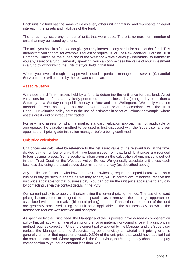Each unit in a fund has the same value as every other unit in that fund and represents an equal interest in the assets and liabilities of the fund.

The funds may issue any number of units that we choose. There is no maximum number of units that may be issued by a fund.

The units you hold in a fund do not give you any interest in any particular asset of that fund. This means that you cannot, for example, request or require us, or The New Zealand Guardian Trust Company Limited as the supervisor of the Westpac Active Series (**Supervisor**), to transfer to you any asset of a fund. Generally speaking, you can only access the value of your investment in a fund by withdrawing the units that you hold in that fund.

Where you invest through an approved custodial portfolio management service (**Custodial Service**), units will be held by the relevant custodian.

#### Asset valuation

We value the different assets held by a fund to determine the unit price for that fund. Asset valuations for the funds are typically performed each business day (being a day other than a Saturday or a Sunday or a public holiday in Auckland and Wellington). We apply valuation methods for each asset type that are market standard or are in accordance with the Trust Deed. Our valuation policy permits the use of estimates in asset valuations for example, where assets are illiquid or infrequently traded.

For any new assets for which a market standard valuation approach is not applicable or appropriate, the valuation method to be used is first discussed with the Supervisor and our appointed unit pricing administration manager before being confirmed.

#### Unit price calculation

Unit prices are calculated by reference to the net asset value of the relevant fund at the time, divided by the number of units that have been issued from that fund. Unit prices are rounded to four decimal places. Some additional information on the calculation of unit prices is set out in the Trust Deed for the Westpac Active Series. We generally calculate unit prices each business day using the asset values determined for that day (as described above).

Any application for units, withdrawal request or switching request accepted before 4pm on a business day (or such later time as we may accept) will, in normal circumstances, receive the unit price applicable for that business day. You can obtain the unit price applicable to any day by contacting us via the contact details in the PDS.

Our current policy is to apply unit prices using the forward pricing method. The use of forward pricing is considered to be good market practice as it removes the arbitrage opportunities associated with the alternative (historical pricing) method. Transactions into or out of the fund are generally processed using the unit price applicable to the business day on which the transaction request was received and accepted.

As specified by the Trust Deed, the Manager and the Supervisor have agreed a compensation policy that will apply if a material unit pricing error or material non-compliance with a unit pricing method requires correction. Under the current policy applied by the Manager and the Supervisor (unless the Manager and the Supervisor agree otherwise) a material unit pricing error is generally an error that equals or exceeds 0.30% of the unit price that would have applied had the error not occurred. Where agreed with the Supervisor, the Manager may choose not to pay compensation to you for an amount less than \$20.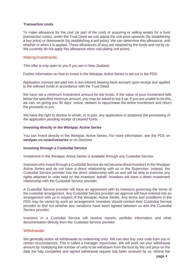#### **Transaction costs**

To make allowance for the cost (or part of the cost) of acquiring or selling assets for a fund (transaction costs), under the Trust Deed we can adjust the unit price upwards (by establishing a buy price) or downwards (by establishing a sell price). We can determine this allowance, and whether or when it is applied. These allowances (if any) are retained by the funds and not by us. We currently do not apply this allowance when calculating unit prices.

#### Making investments

This offer is only open to you if you are in New Zealand.

Further information on how to invest in the Westpac Active Series is set out in the PDS.

Application moneys are paid into a non-interest bearing bank account upon receipt and applied to the relevant funds in accordance with the Trust Deed.

We have set a minimum investment amount for the funds. If the value of your investment falls below the specified minimum amount, you may be asked to top it up. If you are unable to do this, we can, on giving you 30 days' notice, redeem or repurchase the entire investment and return the proceeds to you.

We have the right to decline in whole, or in part, any application or postpone the processing of the application pending receipt of cleared funds.

#### **Investing directly in the Westpac Active Series**

You can invest directly in the Westpac Active Series. For more information, see the PDS on **westpac.co.nz/activeseries** or on Disclose.

#### **Investing through a Custodial Service**

Investment in the Westpac Active Series is available through any Custodial Service.

Investors who invest through a Custodial Service do not become direct investors in the Westpac Active Series and do not have a direct relationship with us or the Supervisor. Instead, the Custodial Service provider has the direct relationship with us and will be able to exercise any rights attached to units held on the investors' behalf. Investors will have a direct investment relationship with the Custodial Service provider.

A Custodial Service provider will have an agreement with its investors governing the terms of the custodial arrangement. Any Custodial Service provider we approve will have entered into an arrangement with us in respect of the Westpac Active Series. Any terms and conditions in the PDS may be varied by such an arrangement. Investors should contact their Custodial Service provider to find out whether any variations have been agreed between us and the Custodial Service provider.

Investors in a Custodial Service will receive reports, portfolio information and other documentation directly from the Custodial Service provider.

#### **Withdrawals**

We generally action all withdrawals by redeeming units. We can also buy your units from you in certain circumstances. This is called a manager repurchase. We will work out your withdrawal amount by multiplying the number of units to be withdrawn from the fund by the unit price on the date the fully completed and signed withdrawal request has been received by us. Where the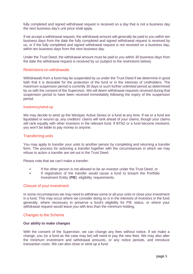fully completed and signed withdrawal request is received on a day that is not a business day the next business day's unit price shall apply.

If we accept a withdrawal request, the withdrawal amount will generally be paid to you within ten business days from the date the fully completed and signed withdrawal request is received by us, or if the fully completed and signed withdrawal request is not received on a business day, within ten business days from the next business day.

Under the Trust Deed, the withdrawal amount must be paid to you within 30 business days from the date the withdrawal request is received by us (subject to the restrictions below).

#### Restrictions on withdrawals

Withdrawals from a fund may be suspended by us under the Trust Deed if we determine in good faith that it is desirable for the protection of the fund or in the interests of Unitholders. The maximum suspension period is currently 30 days or such further unlimited period as determined by us with the consent of the Supervisor. We will deem withdrawal requests received during that suspension period to have been received immediately following the expiry of the suspension period.

#### Insolvency/wind-up

We may decide to wind up the Westpac Active Series or a fund at any time. If we or a fund are liquidated or wound up, any creditors' claims will rank ahead of your claims, though your claims will rank equally with other investors in the relevant fund. If BTNZ or a fund become insolvent, you won't be liable to pay money to anyone.

#### Transferring units

You may apply to transfer your units to another person by completing and returning a transfer form. The process for actioning a transfer together with the circumstances in which we may refuse to action a transfer are set out in the Trust Deed.

Please note that we can't make a transfer:

- If the other person is not allowed to be an investor under the Trust Deed; or
- If registration of the transfer would cause a fund to breach the Portfolio Investment Entity (**PIE**) eligibility requirements.

#### Closure of your investment

In some circumstances we may need to withdraw some or all your units or close your investment in a fund. This may occur where we consider doing so is in the interests of investors in the fund generally, where necessary to preserve a fund's eligibility for PIE status, or where your withdrawal request would leave you with less than the minimum holding.

#### Changes to the Scheme

#### **Our ability to make changes**

With the consent of the Supervisor, we can change any fees without notice. If we make a change, you (or a fund as the case may be) will need to pay the new fees. We may also alter the minimum investment and withdrawal amounts, or any notice periods, and introduce transaction costs. We can also close or wind up a fund.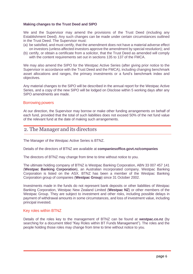#### **Making changes to the Trust Deed and SIPO**

We and the Supervisor may amend the provisions of the Trust Deed (including any Establishment Deed). Any such changes can be made under certain circumstances outlined in the Trust Deed. The Supervisor must:

- (a) be satisfied, and must certify, that the amendment does not have a material adverse effect on investors (unless affected investors approve the amendment by special resolution); and
- (b) certify, or obtain a certificate from a solicitor, that the Trust Deed as amended will comply with the content requirements set out in sections 135 to 137 of the FMCA.

We may also amend the SIPO for the Westpac Active Series (after giving prior notice to the Supervisor in accordance with the Trust Deed and the FMCA), including changing benchmark asset allocations and ranges, the primary investments or a fund's benchmark index and objectives.

Any material changes to the SIPO will be described in the annual report for the Westpac Active Series, and a copy of the new SIPO will be lodged on Disclose within 5 working days after any SIPO amendments are made.

#### Borrowing powers

At our direction, the Supervisor may borrow or make other funding arrangements on behalf of each fund, provided that the total of such liabilities does not exceed 50% of the net fund value of the relevant fund at the date of making such arrangements.

## 2. The Manager and its directors

The Manager of the Westpac Active Series is BTNZ.

Details of the directors of BTNZ are available at **companiesoffice.govt.nz/companies**

The directors of BTNZ may change from time to time without notice to you.

The ultimate holding company of BTNZ is Westpac Banking Corporation, ABN 33 007 457 141 (**Westpac Banking Corporation**), an Australian incorporated company. Westpac Banking Corporation is listed on the ASX. BTNZ has been a member of the Westpac Banking Corporation group of companies (**Westpac Group**) since 31 October 2002.

Investments made in the funds do not represent bank deposits or other liabilities of Westpac Banking Corporation, Westpac New Zealand Limited (**Westpac NZ**) or other members of the Westpac Group. They are subject to investment and other risks, including possible delays in payment of withdrawal amounts in some circumstances, and loss of investment value, including principal invested.

#### Key roles within BTNZ

Details of the roles key to the management of BTNZ can be found at **westpac.co.nz** (by searching for a document titled "Key Roles within BT Funds Management"). The roles and the people holding those roles may change from time to time without notice to you.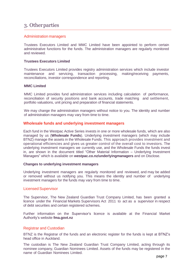## 3. Otherparties

#### Administration managers

Trustees Executors Limited and MMC Limited have been appointed to perform certain administrative functions for the funds. The administration managers are regularly monitored and reviewed.

#### **Trustees Executors Limited**

Trustees Executors Limited provides registry administration services which include investor maintenance and servicing, transaction processing, making/receiving payments, reconciliations, investor correspondence and reporting.

#### **MMC Limited**

MMC Limited provides fund administration services including calculation of performance, reconciliation of security positions and bank accounts, trade matching and settlement, portfolio valuations, unit pricing and preparation of financial statements.

We may change the administration managers without notice to you. The identity and number of administration managers may vary from time to time.

#### **Wholesale funds and underlying investment managers**

Each fund in the Westpac Active Series invests in one or more wholesale funds, which are also managed by us (**Wholesale Funds**). Underlying investment managers (which may include BTNZ) manage the assets in the Wholesale Funds. This approach provides investment and operational efficiencies and gives us greater control of the overall cost to investors. The underlying investment managers we currently use, and the Wholesale Funds the funds invest in, are shown in the document titled "Other Material Information – Underlying Investment Managers" which is available on **westpac.co.nz/underlyingmanagers** and on Disclose.

#### **Changes to underlying investment managers**

Underlying investment managers are regularly monitored and reviewed, and may be added or removed without us notifying you. This means the identity and number of underlying investment managers for the funds may vary from time to time.

#### Licensed Supervisor

The Supervisor, The New Zealand Guardian Trust Company Limited, has been granted a licence under the Financial Markets Supervisors Act 2011 to act as a supervisor in respect of debt securities and certain registered schemes.

Further information on the Supervisor's licence is available at the Financial Market Authority's website **fma.govt.nz**

#### Registrar and Custodian

BTNZ is the Registrar of the funds and an electronic register for the funds is kept at BTNZ's head office in Auckland.

The custodian is The New Zealand Guardian Trust Company Limited, acting through its nominee company, Guardian Nominees Limited. Assets of the funds may be registered in the name of Guardian Nominees Limited.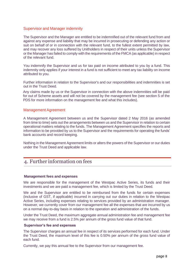#### Supervisor and Manager indemnity

The Supervisor and the Manager are entitled to be indemnified out of the relevant fund from and against any expense and liability that may be incurred in prosecuting or defending any action or suit on behalf of or in connection with the relevant fund, to the fullest extent permitted by law, and may recover any loss suffered by Unitholders in respect of their units unless the Supervisor or the Manager has failed to comply with the requirements of the FMCA (as applicable) in respect of the relevant fund.

You indemnify the Supervisor and us for tax paid on income attributed to you by a fund. This indemnity only applies if your interest in a fund is not sufficient to meet any tax liability on income attributed to you.

Further information in relation to the Supervisor's and our responsibilities and indemnities is set out in the Trust Deed.

Any claims made by us or the Supervisor in connection with the above indemnities will be paid for out of Scheme assets and will not be covered by the management fee (see section 5 of the PDS for more information on the management fee and what this includes).

#### Management Agreement

A Management Agreement between us and the Supervisor dated 2 May 2016 (as amended from time to time) sets out the arrangements between us and the Supervisor in relation to certain operational matters relating to the funds. The Management Agreement specifies the reports and information to be provided by us to the Supervisor and the requirements for operating the funds' bank accounts and record keeping.

Nothing in the Management Agreement limits or alters the powers of the Supervisor or our duties under the Trust Deed and applicable law.

## 4. Further information on fees

#### **Management fees and expenses**

We are responsible for the management of the Westpac Active Series, its funds and their investments and we are paid a management fee, which is limited by the Trust Deed.

We and the Supervisor are entitled to be reimbursed from the funds for certain expenses (inclusive of GST, if applicable) incurred in carrying out our duties in relation to the Westpac Active Series, including expenses relating to services provided by an administration manager. However, we currently cover from our management fee all the expenses that are incurred by us on a normal day-to-day basis in relation to the operation and administration of the funds.

Under the Trust Deed, the maximum aggregate annual administration fee and management fee we may receive from a fund is 2.5% per annum of the gross fund value of that fund.

#### **Supervisor's fee and expenses**

The Supervisor charges an annual fee in respect of its services performed for each fund. Under the Trust Deed, the maximum level of this fee is 0.50% per annum of the gross fund value of each fund.

Currently, we pay this annual fee to the Supervisor from our management fee.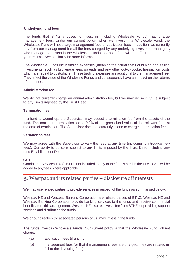#### **Underlying fund fees**

The funds that BTNZ chooses to invest in (including Wholesale Funds) may charge management fees. Under our current policy, when we invest in a Wholesale Fund, the Wholesale Fund will not charge management fees or application fees. In addition, we currently pay from our management fee all the fees charged by any underlying investment managers who manage the assets in the Wholesale Funds, so those fees will not affect the amount of your returns. See section 5 for more information.

The Wholesale Funds incur trading expenses (meaning the actual costs of buying and selling investments, such as brokerage fees, spreads and any other out-of-pocket transaction costs which are repaid to custodians). These trading expenses are additional to the management fee. They affect the value of the Wholesale Funds and consequently have an impact on the returns of the funds.

#### **Administration fee**

We do not currently charge an annual administration fee, but we may do so in future subject to any limits imposed by the Trust Deed.

#### **Termination fee**

If a fund is wound up, the Supervisor may deduct a termination fee from the assets of the fund. The maximum termination fee is 0.2% of the gross fund value of the relevant fund at the date of termination. The Supervisor does not currently intend to charge a termination fee.

#### **Variation to fees**

We may agree with the Supervisor to vary the fees at any time (including to introduce new fees). Our ability to do so is subject to any limits imposed by the Trust Deed including any fund Establishment Deed.

#### **GST**

Goods and Services Tax (**GST**) is not included in any of the fees stated in the PDS. GST will be added to any fees where applicable.

## 5. Westpac and its related parties – disclosure of interests

We may use related parties to provide services in respect of the funds as summarised below.

Westpac NZ and Westpac Banking Corporation are related parties of BTNZ. Westpac NZ and Westpac Banking Corporation provide banking services to the funds and receive commercial benefits from this arrangement. Westpac NZ also receives a fee from BTNZ for providing support services and distributing the funds.

We or our directors (or associated persons of us) may invest in the funds.

The funds invest in Wholesale Funds. Our current policy is that the Wholesale Fund will not charge:

- (a) application fees (if any); or
- (b) management fees (or that if management fees are charged, they are rebated in full to the investing fund).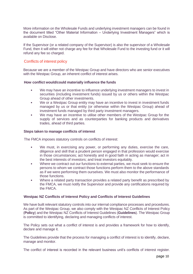More information on the Wholesale Funds and underlying investment managers can be found in the document titled "Other Material Information – Underlying Investment Managers" which is available on Disclose.

If the Supervisor (or a related company of the Supervisor) is also the supervisor of a Wholesale Fund, then it will either not charge any fee for that Wholesale Fund to the investing fund or it will refund any fee so charged.

#### Conflicts of interest policy

Because we are a member of the Westpac Group and have directors who are senior executives with the Westpac Group, an inherent conflict of interest arises.

#### **How conflict would/could materially influence the funds**

- We may have an incentive to influence underlying investment managers to invest in securities (including investment funds) issued by us or others within the Westpac Group ahead of other investments.
- We or a Westpac Group entity may have an incentive to invest in investment funds managed by us or that entity (or otherwise within the Westpac Group) ahead of investment funds managed by third party investment managers.
- We may have an incentive to utilise other members of the Westpac Group for the supply of services and as counterparties for banking products and derivatives trades, ahead of third parties.

#### **Steps taken to manage conflicts of interest**

The FMCA imposes statutory controls on conflicts of interest:

- We must, in exercising any power, or performing any duties, exercise the care, diligence and skill that a prudent person engaged in that profession would exercise in those circumstances; act honestly and in good faith in acting as manager; act in the best interests of investors; and treat investors equitably.
- Where we contract out our functions to external parties, we must seek to ensure the persons to whom we contract those functions perform them to the above standards as if we were performing them ourselves. We must also monitor the performance of those functions.
- Where a related party transaction provides a related party benefit as prescribed by the FMCA, we must notify the Supervisor and provide any certifications required by the FMCA.

#### **Westpac NZ Conflicts of Interest Policy and Conflicts of Interest Guidelines**

We have built relevant statutory controls into our internal compliance processes and procedures. As part of the Westpac Group, we also comply with the Westpac NZ Conflicts of Interest Policy (**Policy**) and the Westpac NZ Conflicts of Interest Guidelines (**Guidelines**). The Westpac Group is committed to identifying, declaring and managing conflicts of interest.

The Policy sets out what a conflict of interest is and provides a framework for how to identify, declare and manage it.

The Guidelines provide that the process for managing a conflict of interest is to identify, declare, manage and monitor.

The conflict of interest is recorded in the relevant business unit's conflicts of interest register.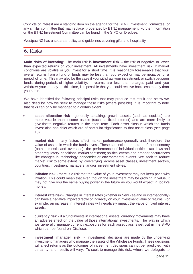Conflicts of interest are a standing item on the agenda for the BTNZ Investment Committee (or any similar committee that may replace it) operated by BTNZ management. Further information on the BTNZ Investment Committee can be found in the SIPO on Disclose.

Westpac NZ has a separate policy and guidelines covering gifts and hospitality.

## 6. Risks

**Main risks of investing:** The main risk is **investment risk** – the risk of negative or lower than expected returns on your investment. All investments have investment risk. If market conditions are volatile or you invest for a short time, it is reasonably foreseeable that your overall returns from a fund or funds may be less than you expect or may be negative for a period of time. This may also be the case if you withdraw your investment, or switch between funds, during periods of higher volatility. If returns are less than charges paid and you withdraw your money at this time, it is possible that you could receive back less money than you put in.

We have identified the following principal risks that may produce this result and below we also describe how we seek to manage these risks (where possible). It is important to note that risks can only be managed to a certain extent.

- **asset allocation risk** generally speaking, growth assets (such as equities) are more volatile than income assets (such as fixed interest) and are more likely to give rise to negative returns in the short term. Each asset class in which the funds invest also has risks which are of particular significance to that asset class (see page 13).
- **market risk** many factors affect market performance generally and, therefore, the value of assets in which the funds invest. These can include the state of the economy (both domestic and overseas); the performance of individual entities; tax laws and other regulatory conditions; market sentiment; political events and broader occurrences like changes in technology, pandemics or environmental events. We seek to reduce market risk to some extent by diversifying across asset classes, investment sectors, countries, investment managers and/or investment styles.
- **inflation risk** there is a risk that the value of your investment may not keep pace with inflation. This could mean that even though the investment may be growing in value, it may not give you the same buying power in the future as you would expect in today's money.
- **interest rate risk** Changes in interest rates (whether in New Zealand or internationally) can have a negative impact directly or indirectly on your investment value or returns. For example, an increase in interest rates will negatively impact the value of fixed interest assets.
- **currency risk** if a fund invests in international assets, currency movements may have an adverse effect on the value of those international investments. The way in which we generally manage currency exposures for each asset class is set out in the SIPO which can be found on Disclose.
- **investment manager risk** investment decisions are made by the underlying investment managers who manage the assets of the Wholesale Funds. These decisions will affect returns as the outcomes of investment decisions cannot be predicted with certainty and results will vary. To seek to manage this risk, where we delegate to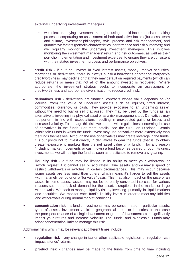external underlying investment managers:

- we select underlying investment managers using a multi-faceted decision-making process incorporating an assessment of both qualitative factors (business, team and culture, investment philosophy, style, process and risk management) and quantitative factors (portfolio characteristics, performance and risk outcomes); and
- we regularly monitor the underlying investment managers. This involves monitoring the investment managers' return and risk outcomes, as well as their portfolio implementation and investment expertise, to ensure they are consistent with their stated investment process and performance objectives.
- **credit risk** if a fund invests in fixed interest assets, money market securities, mortgages or derivatives, there is always a risk a borrower's or other counterparty's creditworthiness may decline or that they may default on required payments (which can reduce returns or mean that not all of the amount invested is recovered). Where appropriate, the investment strategy seeks to incorporate an assessment of creditworthiness and appropriate diversification to reduce credit risk.
- **derivatives risk** derivatives are financial contracts whose value depends on (or 'derives' from) the value of underlying assets such as equities, fixed interest, commodities, currency, or cash. They provide exposure to an underlying asset without the need to buy or sell that asset. They may be used by the funds as an alternative to investing in a physical asset or as a risk management tool. Derivatives may not perform in line with expectations, resulting in unexpected gains or losses and increased volatility. To manage this risk, we operate within guidelines concerning the use of derivatives in the funds. For more details, see the SIPO on Disclose. Certain Wholesale Funds in which the funds invest may use derivatives more extensively than the funds themselves. Although the use of derivatives may create leverage in the funds, it is our policy not to invest directly in derivatives to gear the funds (that is, to obtain greater exposure to markets than the net asset value of a fund). If for any reason (including market movements or cash flows) a fund becomes geared through its direct investments, we will realign the fund as soon as practicable to remove any gearing.
- **liquidity risk** a fund may be limited in its ability to meet your withdrawal or switch request if it cannot sell or accurately value assets and we may suspend or restrict withdrawals or switches in certain circumstances. This may occur because some assets are less liquid than others, which means it's harder to sell the assets within a timely period or on a "for value" basis. This may also impact on the price of an asset. In some cases, assets may not be so easily converted into cash for various reasons such as a lack of demand for the asset, disruptions in the market or large withdrawals. We seek to manage liquidity risk by investing primarily in liquid markets and securities. We monitor each fund's liquidity levels in order to meet any liabilities and withdrawals during normal market conditions.
- **concentration risk** a fund's investments may be concentrated in particular assets, types of assets, investment vehicles, geographical areas or industries. In that case the poor performance of a single investment or group of investments can significantly impact your returns and increase volatility. The funds and Wholesale Funds may adopt concentration limits to manage this risk.

Additional risks which may be relevant at different times include:

- **regulation risk** any change in tax or other applicable legislation or regulation can impact a funds' returns.
- **product risk** changes may be made to the funds from time to time including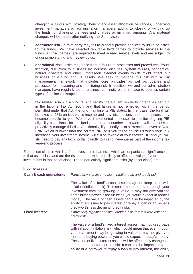changing a fund's aim, strategy, benchmark asset allocation or ranges, underlying investment managers or administration managers, adding to, closing or winding up the funds, or changing the fees and charges or minimum amounts. Any material changes will be made after notifying the Supervisor.

- **contractor risk** a third party may fail to properly provide services to us in relation to the funds. We have selected reputable third parties to provide services to the funds. All third parties are required to meet agreed service levels and are subject to ongoing monitoring and review by us.
- **operational risk** risks may arise from a failure of processes and procedures, fraud, litigation, disruption to business by industrial disputes, system failures, pandemics, natural disasters and other unforeseen external events which might affect our business or a fund and its assets. We seek to manage this risk with a risk management framework that includes core principles as well as policies and processes for measuring and monitoring risk. In addition, we and our administration managers have regularly tested business continuity plans in place to address certain types of business disruption.
- **tax related risk** if a fund fails to satisfy the PIE tax eligibility criteria as set out in the Income Tax Act 2007, and that failure is not remedied within the period permitted under that Act, the fund may lose its PIE status. In that case, the fund will be taxed at 28% on its taxable income and any distributions and redemptions may become taxable to you. We have implemented processes to monitor ongoing PIE eligibility compliance for the funds, and have a number of powers available to us to proactively manage this risk. Additionally, if you notify us of a Prescribed Investor Rate (**PIR**) which is lower than the correct PIR, or if you fail to advise us when your PIR increases, your investment income will still be taxable at your correct PIR and you will still need to pay any tax shortfall directly to Inland Revenue as part of the income tax year-end process.

Each asset class in which a fund invests also has risks which are of particular significance to that asset class and are the risks considered most likely to affect the value of your investments in that asset class. These particularly significant risks (by asset class) are:

| <b>Income assets</b>               |                                                                                                                                                                                                                                                                                                                                                                                                                                                                                     |
|------------------------------------|-------------------------------------------------------------------------------------------------------------------------------------------------------------------------------------------------------------------------------------------------------------------------------------------------------------------------------------------------------------------------------------------------------------------------------------------------------------------------------------|
| <b>Cash &amp; cash equivalents</b> | Particularly significant risks: inflation risk and credit risk                                                                                                                                                                                                                                                                                                                                                                                                                      |
|                                    | The value of a fund's cash assets may not keep pace with<br>inflation (inflation risk). This could mean that even though your<br>investment may be growing in value, it may not give you the<br>same buying power in the future as you would expect in today's<br>money. The value of cash assets can also be impacted by the<br>ability of an issuer to pay interest or repay a loan or an issuer's<br>creditworthiness declining (credit risk).                                   |
| <b>Fixed interest</b>              | Particularly significant risks: inflation risk, interest rate risk and<br>credit risk                                                                                                                                                                                                                                                                                                                                                                                               |
|                                    | The value of a fund's fixed interest assets may not keep pace<br>with inflation (inflation risk) which could mean that even though<br>your investment may be growing in value, it may not give you<br>the same buying power as you would expect in today's money.<br>The value of fixed interest assets will be affected by changes to<br>interest rates (interest rate risk). It can also be impacted by the<br>ability of a borrower to repay a loan or pay interest, the ability |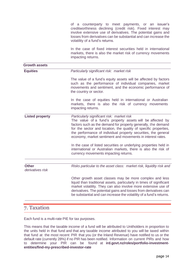of a counterparty to meet payments, or an issuer's creditworthiness declining (credit risk). Fixed interest may involve extensive use of derivatives. The potential gains and losses from derivatives can be substantial and can increase the volatility of a fund's returns. In the case of fixed interest securities held in international markets, there is also the market risk of currency movements impacting returns. **Growth assets Equities** *Particularly significant risk: market risk* The value of a fund's equity assets will be affected by factors such as the performance of individual companies, market movements and sentiment, and the economic performance of the country or sector. In the case of equities held in international or Australian markets, there is also the risk of currency movements impacting returns. **Listed property** *Particularly significant risk: market risk* The value of a fund's property assets will be affected by factors such as the demand for property generally, the demand for the sector and location, the quality of specific properties, the performance of individual property securities, the general economy, market sentiment and movements in interest rates. In the case of listed securities or underlying properties held in international or Australian markets, there is also the risk of currency movements impacting returns. **Other** *Risks particular to the asset class: market risk, liquidity risk and derivatives risk* Other growth asset classes may be more complex and less liquid than traditional assets, particularly in times of significant market volatility. They can also involve more extensive use of derivatives. The potential gains and losses from derivatives can be substantial and can increase the volatility of a fund's returns.

## 7. Taxation

Each fund is a multi-rate PIE for tax purposes.

This means that the taxable income of a fund will be attributed to Unitholders in proportion to the units held in that fund and that any taxable income attributed to you will be taxed within that fund at the most recent PIR that you (or the Inland Revenue) have notified to us or the default rate (currently 28%) if no PIR has been notified. Information on current PIRs and how to determine your PIR can be found at **ird.govt.nz/roles/portfolio-investmententities/find-my-prescribed-investor-rate**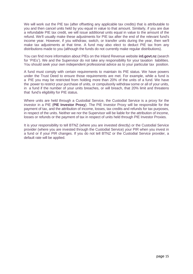We will work out the PIE tax (after offsetting any applicable tax credits) that is attributable to you and then cancel units held by you equal in value to that amount. Similarly, if you are due a refundable PIE tax credit, we will issue additional units equal in value to the amount of the refund. We'll usually make these adjustments for PIE tax after the end of the relevant fund's income year. However, if you withdraw, switch, or transfer units during the year, then we'll make tax adjustments at that time. A fund may also elect to deduct PIE tax from any distributions made to you (although the funds do not currently make regular distributions).

You can find more information about PIEs on the Inland Revenue website **ird.govt.nz** (search for 'PIEs'). We and the Supervisor do not take any responsibility for your taxation liabilities. You should seek your own independent professional advice as to your particular tax position.

A fund must comply with certain requirements to maintain its PIE status. We have powers under the Trust Deed to ensure those requirements are met. For example, while a fund is a PIE you may be restricted from holding more than 20% of the units of a fund. We have the power to restrict your purchase of units, or compulsorily withdraw some or all of your units, in a fund if the number of your units breaches, or will breach, that 20% limit and threatens that fund's eligibility for PIE status.

Where units are held through a Custodial Service, the Custodial Service is a proxy for the investor in a PIE (**PIE Investor Proxy**). The PIE Investor Proxy will be responsible for the payment of tax, and the attribution of income, losses, tax credits and refunds for tax purposes, in respect of the units. Neither we nor the Supervisor will be liable for the attribution of income, losses or refunds or the payment of tax in respect of units held through PIE Investor Proxies.

It is your responsibility to tell BTNZ (where you are invested directly) or the Custodial Service provider (where you are invested through the Custodial Service) your PIR when you invest in a fund or if your PIR changes. If you do not tell BTNZ or the Custodial Service provider, a default rate will be applied.